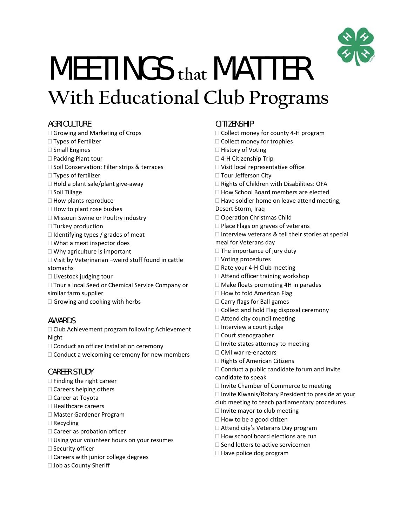

# MEETINGS **that** MATTER **With Educational Club Programs**

## **AGRICULTURE**

- □ Growing and Marketing of Crops
- □ Types of Fertilizer
- □ Small Engines
- $\square$  Packing Plant tour
- □ Soil Conservation: Filter strips & terraces
- □ Types of fertilizer
- □ Hold a plant sale/plant give-away
- $\square$  Soil Tillage
- $\Box$  How plants reproduce
- $\Box$  How to plant rose bushes
- □ Missouri Swine or Poultry industry
- □ Turkey production
- $\Box$  Identifying types / grades of meat
- □ What a meat inspector does
- □ Why agriculture is important
- Visit by Veterinarian –weird stuff found in cattle stomachs
- $\square$  Livestock judging tour
- □ Tour a local Seed or Chemical Service Company or similar farm supplier
- $\Box$  Growing and cooking with herbs

## AWARDS

 $\Box$  Club Achievement program following Achievement Night

- $\Box$  Conduct an officer installation ceremony
- $\Box$  Conduct a welcoming ceremony for new members

## CAREER STUDY

- $\Box$  Finding the right career
- $\square$  Careers helping others
- □ Career at Toyota
- □ Healthcare careers
- Master Gardener Program
- □ Recycling
- □ Career as probation officer
- $\Box$  Using your volunteer hours on your resumes
- □ Security officer
- □ Careers with junior college degrees
- □ Job as County Sheriff

# **CITIZENSHIP**

- □ Collect money for county 4-H program
- $\Box$  Collect money for trophies
- □ History of Voting
- □ 4-H Citizenship Trip
- □ Visit local representative office
- □ Tour Jefferson City
- $\Box$  Rights of Children with Disabilities: OFA
- □ How School Board members are elected
- $\Box$  Have soldier home on leave attend meeting;
- Desert Storm, Iraq
- □ Operation Christmas Child
- $\Box$  Place Flags on graves of veterans
- $\Box$  Interview veterans & tell their stories at special
- meal for Veterans day
- $\Box$  The importance of jury duty
- Voting procedures
- □ Rate your 4-H Club meeting
- $\Box$  Attend officer training workshop
- □ Make floats promoting 4H in parades
- $\Box$  How to fold American Flag
- $\Box$  Carry flags for Ball games
- □ Collect and hold Flag disposal ceremony
- □ Attend city council meeting
- $\Box$  Interview a court judge
- Court stenographer
- $\Box$  Invite states attorney to meeting
- □ Civil war re-enactors
- □ Rights of American Citizens
- $\Box$  Conduct a public candidate forum and invite candidate to speak
- $\Box$  Invite Chamber of Commerce to meeting
- $\Box$  Invite Kiwanis/Rotary President to preside at your
- club meeting to teach parliamentary procedures
- $\Box$  Invite mayor to club meeting
- $\Box$  How to be a good citizen
- □ Attend city's Veterans Day program
- $\Box$  How school board elections are run
- $\square$  Send letters to active servicemen
- $\Box$  Have police dog program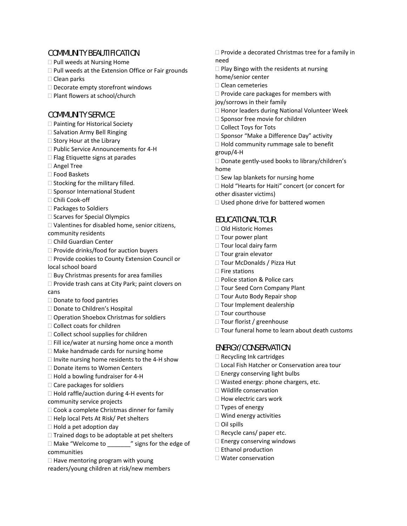#### COMMUNITY BEAUTIFICATION

- □ Pull weeds at Nursing Home
- $\Box$  Pull weeds at the Extension Office or Fair grounds
- □ Clean parks
- $\square$  Decorate empty storefront windows
- □ Plant flowers at school/church

#### COMMUNITY SERVICE

- □ Painting for Historical Society
- $\square$  Salvation Army Bell Ringing
- $\square$  Story Hour at the Library
- □ Public Service Announcements for 4-H
- $\Box$  Flag Etiquette signs at parades
- □ Angel Tree
- Food Baskets
- $\square$  Stocking for the military filled.
- $\square$  Sponsor International Student
- □ Chili Cook-off
- □ Packages to Soldiers
- $\square$  Scarves for Special Olympics
- Valentines for disabled home, senior citizens, community residents
- Child Guardian Center
- $\Box$  Provide drinks/food for auction buyers
- □ Provide cookies to County Extension Council or local school board
- $\Box$  Buy Christmas presents for area families
- $\Box$  Provide trash cans at City Park; paint clovers on cans
- □ Donate to food pantries
- □ Donate to Children's Hospital
- □ Operation Shoebox Christmas for soldiers
- □ Collect coats for children
- $\Box$  Collect school supplies for children
- $\Box$  Fill ice/water at nursing home once a month
- $\Box$  Make handmade cards for nursing home
- $\Box$  Invite nursing home residents to the 4-H show
- □ Donate items to Women Centers
- □ Hold a bowling fundraiser for 4-H
- $\Box$  Care packages for soldiers
- □ Hold raffle/auction during 4-H events for community service projects
- $\Box$  Cook a complete Christmas dinner for family
- $\Box$  Help local Pets At Risk/ Pet shelters
- $\Box$  Hold a pet adoption day
- $\Box$  Trained dogs to be adoptable at pet shelters
- $\Box$  Make "Welcome to  $\Box$ " signs for the edge of communities
- $\Box$  Have mentoring program with young
- readers/young children at risk/new members
- $\Box$  Provide a decorated Christmas tree for a family in need
- $\square$  Play Bingo with the residents at nursing
- home/senior center
- $\Box$  Clean cemeteries
- $\Box$  Provide care packages for members with
- joy/sorrows in their family
- □ Honor leaders during National Volunteer Week
- $\square$  Sponsor free movie for children
- □ Collect Toys for Tots
- $\square$  Sponsor "Make a Difference Day" activity
- $\Box$  Hold community rummage sale to benefit
- group/4‐H
- □ Donate gently-used books to library/children's home
- $\square$  Sew lap blankets for nursing home
- □ Hold "Hearts for Haiti" concert (or concert for
- other disaster victims)
- $\Box$  Used phone drive for battered women

## EDUCATIONAL TOUR

- □ Old Historic Homes
- □ Tour power plant
- $\Box$  Tour local dairy farm
- $\Box$  Tour grain elevator
- □ Tour McDonalds / Pizza Hut
- $\Box$  Fire stations
- □ Police station & Police cars
- □ Tour Seed Corn Company Plant
- $\Box$  Tour Auto Body Repair shop
- □ Tour Implement dealership
- □ Tour courthouse
- □ Tour florist / greenhouse
- $\Box$  Tour funeral home to learn about death customs

## ENERGY/CONSERVATION

- $\Box$  Recycling Ink cartridges
- □ Local Fish Hatcher or Conservation area tour
- $\square$  Energy conserving light bulbs
- $\Box$  Wasted energy: phone chargers, etc.
- Wildlife conservation
- $\Box$  How electric cars work
- □ Types of energy
- □ Wind energy activities
- □ Oil spills
- $\Box$  Recycle cans/ paper etc.
- $\square$  Energy conserving windows
- □ Ethanol production
- □ Water conservation